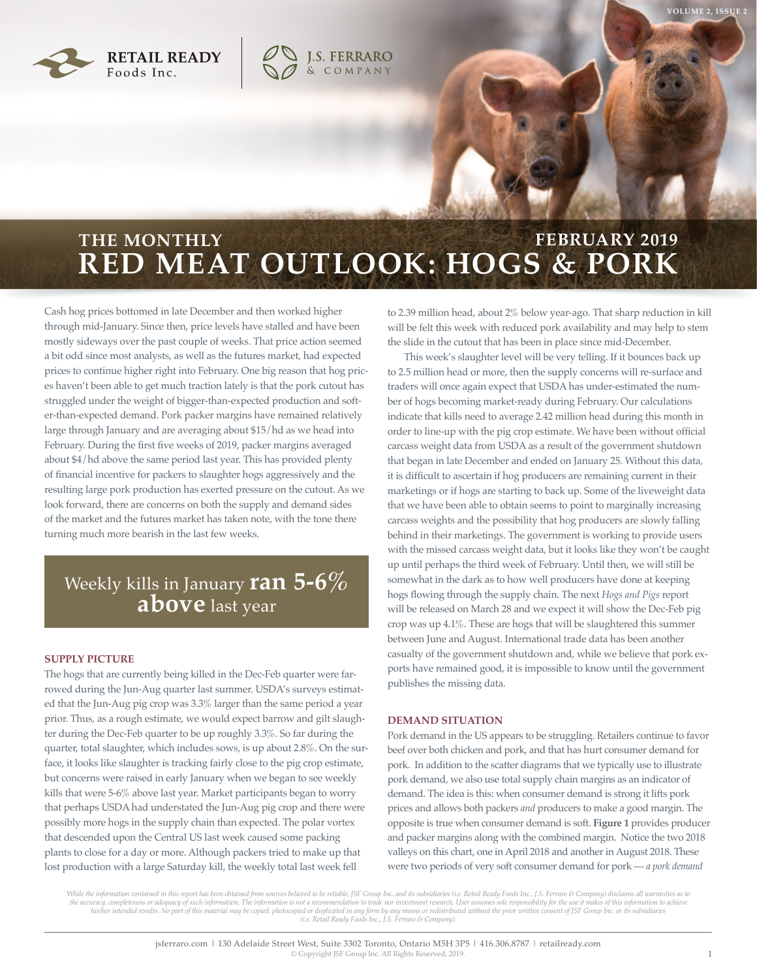

# **RED MEAT OUTLOOK: HOGS & PORK THE MONTHLY FEBRUARY 2019**

**J.S. FERRARO**<br>& COMPANY

Cash hog prices bottomed in late December and then worked higher through mid-January. Since then, price levels have stalled and have been mostly sideways over the past couple of weeks. That price action seemed a bit odd since most analysts, as well as the futures market, had expected prices to continue higher right into February. One big reason that hog prices haven't been able to get much traction lately is that the pork cutout has struggled under the weight of bigger-than-expected production and softer-than-expected demand. Pork packer margins have remained relatively large through January and are averaging about \$15/hd as we head into February. During the first five weeks of 2019, packer margins averaged about \$4/hd above the same period last year. This has provided plenty of financial incentive for packers to slaughter hogs aggressively and the resulting large pork production has exerted pressure on the cutout. As we look forward, there are concerns on both the supply and demand sides of the market and the futures market has taken note, with the tone there turning much more bearish in the last few weeks.

## Weekly kills in January **ran 5-6% above** last year

### **SUPPLY PICTURE**

The hogs that are currently being killed in the Dec-Feb quarter were farrowed during the Jun-Aug quarter last summer. USDA's surveys estimated that the Jun-Aug pig crop was 3.3% larger than the same period a year prior. Thus, as a rough estimate, we would expect barrow and gilt slaughter during the Dec-Feb quarter to be up roughly 3.3%. So far during the quarter, total slaughter, which includes sows, is up about 2.8%. On the surface, it looks like slaughter is tracking fairly close to the pig crop estimate, but concerns were raised in early January when we began to see weekly kills that were 5-6% above last year. Market participants began to worry that perhaps USDA had understated the Jun-Aug pig crop and there were possibly more hogs in the supply chain than expected. The polar vortex that descended upon the Central US last week caused some packing plants to close for a day or more. Although packers tried to make up that lost production with a large Saturday kill, the weekly total last week fell

to 2.39 million head, about 2% below year-ago. That sharp reduction in kill will be felt this week with reduced pork availability and may help to stem the slide in the cutout that has been in place since mid-December.

This week's slaughter level will be very telling. If it bounces back up to 2.5 million head or more, then the supply concerns will re-surface and traders will once again expect that USDA has under-estimated the number of hogs becoming market-ready during February. Our calculations indicate that kills need to average 2.42 million head during this month in order to line-up with the pig crop estimate. We have been without official carcass weight data from USDA as a result of the government shutdown that began in late December and ended on January 25. Without this data, it is difficult to ascertain if hog producers are remaining current in their marketings or if hogs are starting to back up. Some of the liveweight data that we have been able to obtain seems to point to marginally increasing carcass weights and the possibility that hog producers are slowly falling behind in their marketings. The government is working to provide users with the missed carcass weight data, but it looks like they won't be caught up until perhaps the third week of February. Until then, we will still be somewhat in the dark as to how well producers have done at keeping hogs flowing through the supply chain. The next *Hogs and Pigs* report will be released on March 28 and we expect it will show the Dec-Feb pig crop was up 4.1%. These are hogs that will be slaughtered this summer between June and August. International trade data has been another casualty of the government shutdown and, while we believe that pork exports have remained good, it is impossible to know until the government publishes the missing data.

### **DEMAND SITUATION**

Pork demand in the US appears to be struggling. Retailers continue to favor beef over both chicken and pork, and that has hurt consumer demand for pork. In addition to the scatter diagrams that we typically use to illustrate pork demand, we also use total supply chain margins as an indicator of demand. The idea is this: when consumer demand is strong it lifts pork prices and allows both packers *and* producers to make a good margin. The opposite is true when consumer demand is soft. **Figure 1** provides producer and packer margins along with the combined margin. Notice the two 2018 valleys on this chart, one in April 2018 and another in August 2018. These were two periods of very soft consumer demand for pork — *a pork demand* 

While the information contained in this report has been obtained from sources believed to be reliable, JSF Group Inc. and its subsidiaries (i.e. Retail Ready Foods Inc., J.S. Ferraro & Company) disclaims all warranties as the accuracy, completeness or adequacy of such information. The information is not a recommendation to trade nor investment research. User assumes sole responsibility for the use it makes of this information to achieve<br>his *(i.e. Retail Ready Foods Inc., J.S. Ferraro & Company).*

**VOLUME 2, ISSUE 2**